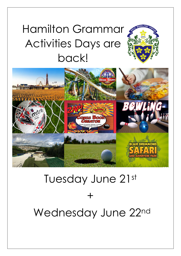## Hamilton Grammar Activities Days are back!



# Tuesday June 21st  $+$ Wednesday June 22nd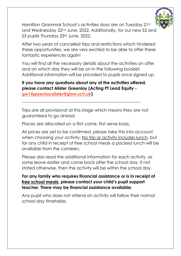

Hamilton Grammar School's activities days are on Tuesday 21st and Wednesday 22nd June, 2022. Additionally, for our new S2 and S3 pupils Thursday 23<sup>rd</sup> June, 2022.

After two years of cancelled trips and restrictions which hindered these opportunities, we are very excited to be able to offer these fantastic experiences again!

You will find all the necessary details about the activities on offer and on which day they will be on in the following booklet. Additional information will be provided to pupils once signed up.

**If you have any questions about any of the activities offered, please contact Alister Greenlay (Acting PT Lead Equity [gw14greenlayalister@glow.sch.uk\)](mailto:gw14greenlayalister@glow.sch.uk)**

------------------------------------------------------------------------------------

Trips are all provisional at this stage which means they are not guaranteed to go ahead.

Places are allocated on a first come, first serve basis.

All prices are yet to be confirmed, please take this into account when choosing your activity. No trip or activity includes lunch, but for any child in receipt of free school meals a packed lunch will be available from the canteen.

Please also read the additional information for each activity, as some leave earlier and come back after the school day. If not stated otherwise, then the activity will be within the school day.

#### **For any family who requires financial assistance or is in receipt of free school meals, please contact your child's pupil support teacher. There may be financial assistance available.**

Any pupil who does not attend an activity will follow their normal school day timetable.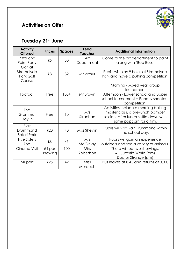## **Activities on Offer**



## **Tuesday 21st June**

| <b>Activity</b><br><b>Offered</b>             | <b>Prices</b>       | <b>Spaces</b> | Lead<br><b>Teacher</b>        | <b>Additional Information</b>                                                                                                                |
|-----------------------------------------------|---------------------|---------------|-------------------------------|----------------------------------------------------------------------------------------------------------------------------------------------|
| Pizza and<br>Paint Party                      | £5                  | 30            | Art<br>Department             | Come to the art department to paint<br>along with 'Bob Ross'                                                                                 |
| Golf at<br>Strathclyde<br>Park Golf<br>Course | \$8                 | 32            | Mr Arthur                     | Pupils will play 9 holes at Strathclyde<br>Park and have a putting competition.                                                              |
| Football                                      | Free                | $100+$        | Mr Brown                      | Morning - Mixed year group<br>tournament<br>Afternoon - Lower school and upper<br>school tournament + Penalty shootout<br>competition.       |
| The<br>Grammar<br>Day In                      | Free                | 10            | <b>Mrs</b><br>Strachan        | Activities include a morning baking<br>master class, a pre-lunch pamper<br>session. After lunch settle down with<br>some popcorn for a film. |
| <b>Blair</b><br>Drummond<br>Safari Park       | £20                 | 40            | Miss Shevlin                  | Pupils will visit Blair Drummond within<br>the school day.                                                                                   |
| <b>Five Sisters</b><br>Zoo                    | \$8                 | 45            | <b>Mrs</b><br><b>McGinlay</b> | Pupils will gain an experience<br>outdoors and see a variety of animals.                                                                     |
| Cinema Visit                                  | $£4$ per<br>showing | 100           | <b>Miss</b><br>Robertson      | There will be two showings:<br>Jurassic World (am)<br>Doctor Strange (pm)                                                                    |
| Millport                                      | £25                 | 42            | <b>Miss</b><br>Murdoch        | Bus leaves at 8.45 and returns at 3.30.                                                                                                      |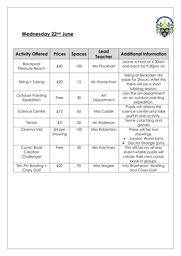

## **Wednesday 22nd June**

| <b>Activity Offered</b>                | <b>Prices</b>     | <b>Spaces</b> | Lead<br><b>Teacher</b> | <b>Additional Information</b>                                                                       |
|----------------------------------------|-------------------|---------------|------------------------|-----------------------------------------------------------------------------------------------------|
| Blackpool<br>Pleasure Beach            | £40               | 100           | Mrs Flockhart          | Leave school at 6:30am<br>and back for 9:30pm on                                                    |
| Skiing + Tubing                        | £20               | 15            | Mr Monachan            | Skiing at Bearsden dry<br>slope for 2hours. After this<br>there will be a short<br>tubbing session. |
| Outdoor Painting<br>Expedition         | Free              | 30            | Art<br>Department      | Join the art department<br>on an outdoor painting<br>expedition.                                    |
| Science Centre                         | £12               | 65            | Miss Calder            | Pupils will attend the<br>science centre and take<br>part in one activity.                          |
| Tennis                                 | £3                | 20            | Mr Anderson            | Tennis coaching and<br>games                                                                        |
| Cinema Visit                           | £4 per<br>showing | 100           | Miss Robertson         | There will be two<br>showings:<br>Jurassic World (am)<br>$\bullet$<br>Doctor Strange (pm)           |
| Comic Book<br>Creation<br>Challenge!   | Free              | 30            | Mrs Faichney           | This will be an all-day<br>event where pupils will<br>create their own comic<br>book in groups.     |
| Ten Pin Bowling +<br><b>Crazy Golf</b> | £20               | 95            | Miss Magee             | Intu Braehead - Bowling<br>and Crazy Golf.                                                          |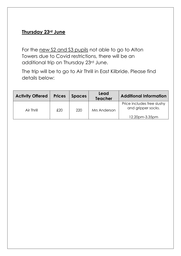#### **Thursday 23rd June**

For the new S2 and S3 pupils not able to go to Alton Towers due to Covid restrictions, there will be an additional trip on Thursday 23rd June.

The trip will be to go to Air Thrill in East Kilbride. Please find details below:

| <b>Activity Offered</b> | <b>Prices</b> | <b>Spaces</b> | Lead<br><b>Teacher</b> | <b>Additional Information</b>                    |
|-------------------------|---------------|---------------|------------------------|--------------------------------------------------|
| Air Thrill              | £20           | 220           | Mrs Anderson           | Price includes free slushy<br>and gripper socks. |
|                         |               |               |                        | 12.20pm-3.35pm                                   |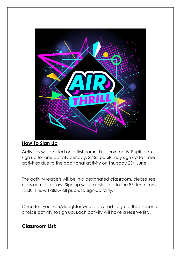

#### **How To Sign Up**

Activities will be filled on a first come, first serve basis. Pupils can sign up for one activity per day. S2-S3 pupils may sign up to three activities due to the additional activity on Thursday 23rd June.

The activity leaders will be in a designated classroom, please see classroom list below. Sign up will be restricted to the 8<sup>th</sup> June from 13:30. This will allow all pupils to sign-up fairly.

Once full, your son/daughter will be advised to go to their secondchoice activity to sign up. Each activity will have a reserve list.

#### **Classroom List:**